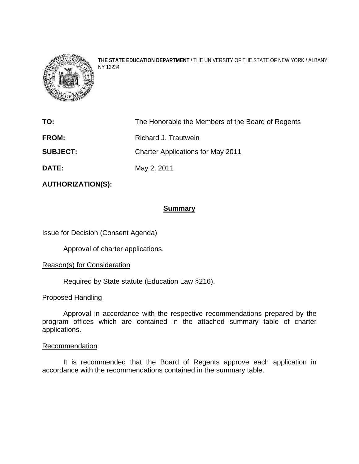

**THE STATE EDUCATION DEPARTMENT** / THE UNIVERSITY OF THE STATE OF NEW YORK / ALBANY, NY 12234

| TO:             | The Honorable the Members of the Board of Regents |
|-----------------|---------------------------------------------------|
| <b>FROM:</b>    | Richard J. Trautwein                              |
| <b>SUBJECT:</b> | <b>Charter Applications for May 2011</b>          |
| <b>DATE:</b>    | May 2, 2011                                       |

**AUTHORIZATION(S):** 

## **Summary**

Issue for Decision (Consent Agenda)

Approval of charter applications.

## Reason(s) for Consideration

Required by State statute (Education Law §216).

### Proposed Handling

Approval in accordance with the respective recommendations prepared by the program offices which are contained in the attached summary table of charter applications.

#### **Recommendation**

It is recommended that the Board of Regents approve each application in accordance with the recommendations contained in the summary table.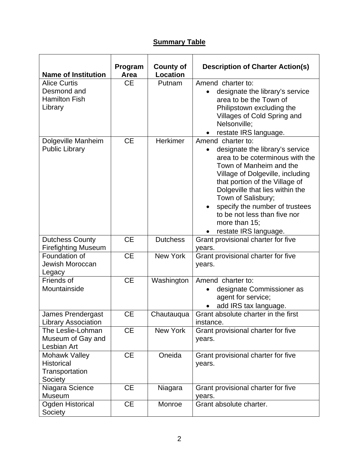# **Summary Table**

| <b>Name of Institution</b>                                            | Program<br>Area | <b>County of</b><br><b>Location</b> | <b>Description of Charter Action(s)</b>                                                                                                                                                                                                                                                                                                                       |
|-----------------------------------------------------------------------|-----------------|-------------------------------------|---------------------------------------------------------------------------------------------------------------------------------------------------------------------------------------------------------------------------------------------------------------------------------------------------------------------------------------------------------------|
| <b>Alice Curtis</b><br>Desmond and<br><b>Hamilton Fish</b><br>Library | <b>CE</b>       | Putnam                              | Amend charter to:<br>designate the library's service<br>area to be the Town of<br>Philipstown excluding the<br>Villages of Cold Spring and<br>Nelsonville:<br>restate IRS language.                                                                                                                                                                           |
| Dolgeville Manheim<br><b>Public Library</b>                           | <b>CE</b>       | <b>Herkimer</b>                     | Amend charter to:<br>designate the library's service<br>area to be coterminous with the<br>Town of Manheim and the<br>Village of Dolgeville, including<br>that portion of the Village of<br>Dolgeville that lies within the<br>Town of Salisbury;<br>specify the number of trustees<br>to be not less than five nor<br>more than 15;<br>restate IRS language. |
| <b>Dutchess County</b><br><b>Firefighting Museum</b>                  | <b>CE</b>       | <b>Dutchess</b>                     | Grant provisional charter for five<br>years.                                                                                                                                                                                                                                                                                                                  |
| Foundation of<br>Jewish Moroccan<br>Legacy                            | <b>CE</b>       | <b>New York</b>                     | Grant provisional charter for five<br>years.                                                                                                                                                                                                                                                                                                                  |
| Friends of<br>Mountainside                                            | CE              | Washington                          | Amend charter to:<br>designate Commissioner as<br>agent for service;<br>add IRS tax language.                                                                                                                                                                                                                                                                 |
| James Prendergast<br><b>Library Association</b>                       | <b>CE</b>       | Chautauqua                          | Grant absolute charter in the first<br>instance.                                                                                                                                                                                                                                                                                                              |
| The Leslie-Lohman<br>Museum of Gay and<br>Lesbian Art                 | <b>CE</b>       | New York                            | Grant provisional charter for five<br>years.                                                                                                                                                                                                                                                                                                                  |
| Mohawk Valley<br><b>Historical</b><br>Transportation<br>Society       | <b>CE</b>       | Oneida                              | Grant provisional charter for five<br>years.                                                                                                                                                                                                                                                                                                                  |
| Niagara Science<br><b>Museum</b>                                      | <b>CE</b>       | Niagara                             | Grant provisional charter for five<br>years.                                                                                                                                                                                                                                                                                                                  |
| <b>Ogden Historical</b><br>Society                                    | <b>CE</b>       | Monroe                              | Grant absolute charter.                                                                                                                                                                                                                                                                                                                                       |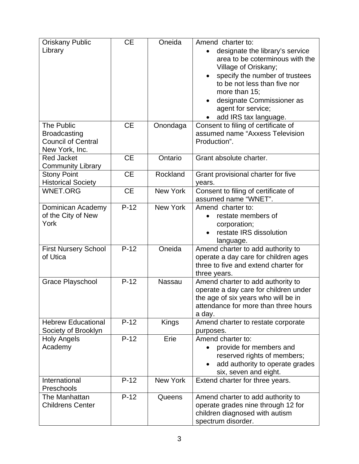| <b>Oriskany Public</b><br>Library<br>The Public                    | <b>CE</b><br><b>CE</b> | Oneida<br>Onondaga | Amend charter to:<br>designate the library's service<br>area to be coterminous with the<br>Village of Oriskany;<br>specify the number of trustees<br>to be not less than five nor<br>more than 15;<br>designate Commissioner as<br>agent for service;<br>add IRS tax language.<br>Consent to filing of certificate of |
|--------------------------------------------------------------------|------------------------|--------------------|-----------------------------------------------------------------------------------------------------------------------------------------------------------------------------------------------------------------------------------------------------------------------------------------------------------------------|
| <b>Broadcasting</b><br><b>Council of Central</b><br>New York, Inc. |                        |                    | assumed name "Axxess Television<br>Production".                                                                                                                                                                                                                                                                       |
| <b>Red Jacket</b><br><b>Community Library</b>                      | <b>CE</b>              | Ontario            | Grant absolute charter.                                                                                                                                                                                                                                                                                               |
| <b>Stony Point</b><br><b>Historical Society</b>                    | <b>CE</b>              | Rockland           | Grant provisional charter for five<br>years.                                                                                                                                                                                                                                                                          |
| <b>WNET.ORG</b>                                                    | <b>CE</b>              | <b>New York</b>    | Consent to filing of certificate of<br>assumed name "WNET".                                                                                                                                                                                                                                                           |
| Dominican Academy<br>of the City of New<br>York                    | $P-12$                 | <b>New York</b>    | Amend charter to:<br>restate members of<br>corporation;<br>restate IRS dissolution<br>language.                                                                                                                                                                                                                       |
| <b>First Nursery School</b><br>of Utica                            | $P-12$                 | Oneida             | Amend charter to add authority to<br>operate a day care for children ages<br>three to five and extend charter for<br>three years.                                                                                                                                                                                     |
| <b>Grace Playschool</b>                                            | $P-12$                 | Nassau             | Amend charter to add authority to<br>operate a day care for children under<br>the age of six years who will be in<br>attendance for more than three hours<br>a day.                                                                                                                                                   |
| <b>Hebrew Educational</b><br>Society of Brooklyn                   | $P-12$                 | Kings              | Amend charter to restate corporate<br>purposes.                                                                                                                                                                                                                                                                       |
| <b>Holy Angels</b><br>Academy                                      | $P-12$                 | Erie               | Amend charter to:<br>provide for members and<br>reserved rights of members;<br>add authority to operate grades<br>six, seven and eight.                                                                                                                                                                               |
| International<br>Preschools                                        | $P-12$                 | New York           | Extend charter for three years.                                                                                                                                                                                                                                                                                       |
| The Manhattan<br><b>Childrens Center</b>                           | $P-12$                 | Queens             | Amend charter to add authority to<br>operate grades nine through 12 for<br>children diagnosed with autism<br>spectrum disorder.                                                                                                                                                                                       |